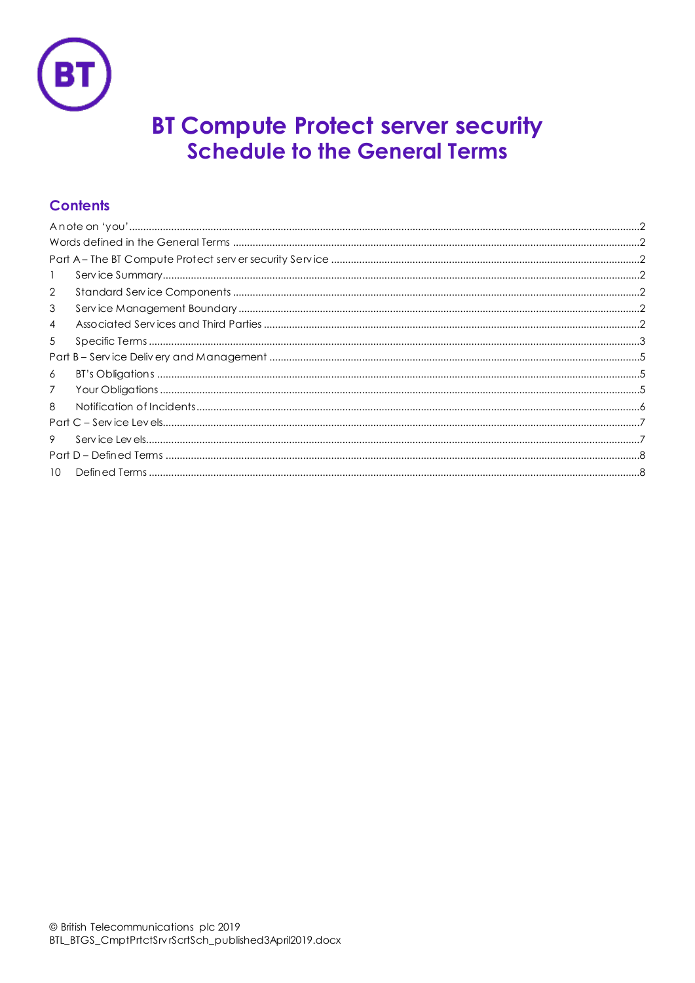

# **BT Compute Protect server security Schedule to the General Terms**

## **Contents**

| $\mathbf{1}$    |  |
|-----------------|--|
| 2               |  |
| 3               |  |
| $\overline{4}$  |  |
| 5               |  |
|                 |  |
| 6               |  |
| 7               |  |
| 8               |  |
|                 |  |
| 9               |  |
|                 |  |
| 10 <sup>°</sup> |  |
|                 |  |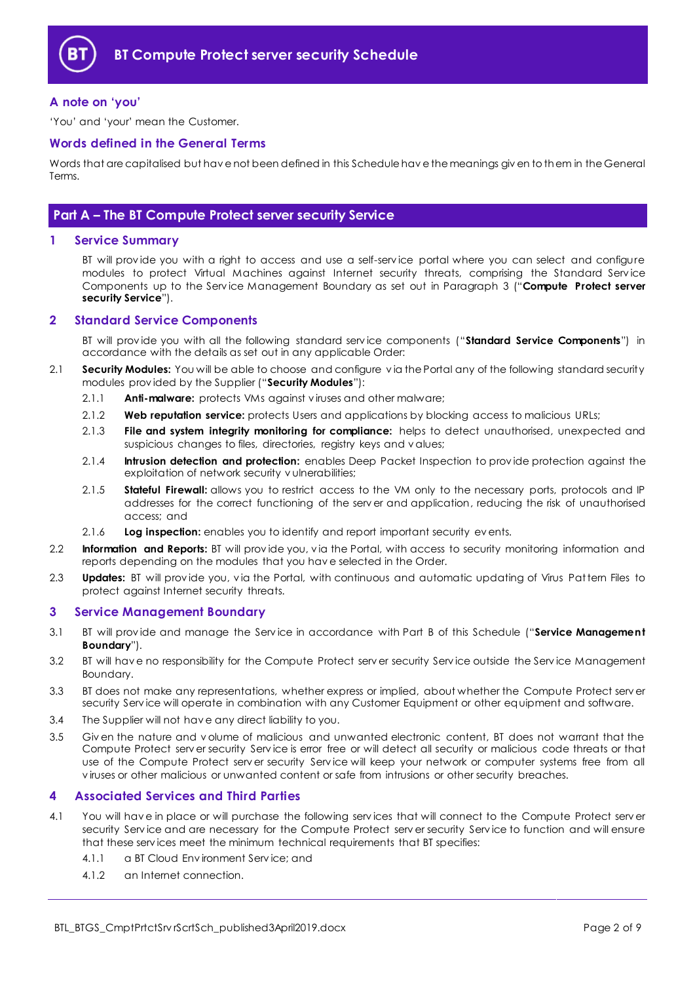

#### <span id="page-1-0"></span>**A note on 'you'**

'You' and 'your' mean the Customer.

#### <span id="page-1-1"></span>**Words defined in the General Terms**

Words that are capitalised but hav e not been defined in this Schedule hav e the meanings giv en to them in the General Terms.

### <span id="page-1-2"></span>**Part A – The BT Compute Protect server security Service**

#### <span id="page-1-3"></span>**1 Service Summary**

BT will prov ide you with a right to access and use a self-serv ice portal where you can select and configure modules to protect Virtual Machines against Internet security threats, comprising the Standard Serv ice Components up to the Service Management Boundary as set out in Paragraph [3](#page-1-5) ("Compute Protect server **security Service**").

#### <span id="page-1-4"></span>**2 Standard Service Components**

BT will prov ide you with all the following standard serv ice components ("**Standard Service Components**") in accordance with the details as set out in any applicable Order:

- <span id="page-1-8"></span>2.1 **Security Modules:** You will be able to choose and configure v ia the Portal any of the following standard security modules prov ided by the Supplier ("**Security Modules**"):
	- 2.1.1 **Anti-malware:** protects VMs against v iruses and other malware;
	- 2.1.2 **Web reputation service:** protects Users and applications by blocking access to malicious URLs;
	- 2.1.3 **File and system integrity monitoring for compliance:** helps to detect unauthorised, unexpected and suspicious changes to files, directories, registry keys and v alues;
	- 2.1.4 **Intrusion detection and protection:** enables Deep Packet Inspection to prov ide protection against the exploitation of network security v ulnerabilities;
	- 2.1.5 **Stateful Firewall:** allows you to restrict access to the VM only to the necessary ports, protocols and IP addresses for the correct functioning of the serv er and application, reducing the risk of unauthorised access; and
	- 2.1.6 **Log inspection:** enables you to identify and report important security ev ents.
- 2.2 **Information and Reports:** BT will prov ide you, v ia the Portal, with access to security monitoring information and reports depending on the modules that you hav e selected in the Order.
- 2.3 **Updates:** BT will prov ide you, v ia the Portal, with continuous and automatic updating of Virus Pattern Files to protect against Internet security threats.

#### <span id="page-1-5"></span>**3 Service Management Boundary**

- <span id="page-1-9"></span>3.1 BT will prov ide and manage the Serv ice in accordance with Part B of this Schedule ("**Service Management Boundary**").
- 3.2 BT will hav e no responsibility for the Compute Protect serv er security Serv ice outside the Serv ice Management Boundary.
- 3.3 BT does not make any representations, whether express or implied, about whether the Compute Protect serv er security Serv ice will operate in combination with any Customer Equipment or other equipment and software.
- 3.4 The Supplier will not hav e any direct liability to you.
- 3.5 Giv en the nature and v olume of malicious and unwanted electronic content, BT does not warrant that the Compute Protect serv er security Service is error free or will detect all security or malicious code threats or that use of the Compute Protect serv er security Serv ice will keep your network or computer systems free from all v iruses or other malicious or unwanted content or safe from intrusions or other security breaches.

#### <span id="page-1-6"></span>**4 Associated Services and Third Parties**

- <span id="page-1-7"></span>4.1 You will hav e in place or will purchase the following serv ices that will connect to the Compute Protect serv er security Serv ice and are necessary for the Compute Protect serv er security Serv ice to function and will ensure that these serv ices meet the minimum technical requirements that BT specifies:
	- 4.1.1 a BT Cloud Env ironment Serv ice; and
	- 4.1.2 an Internet connection.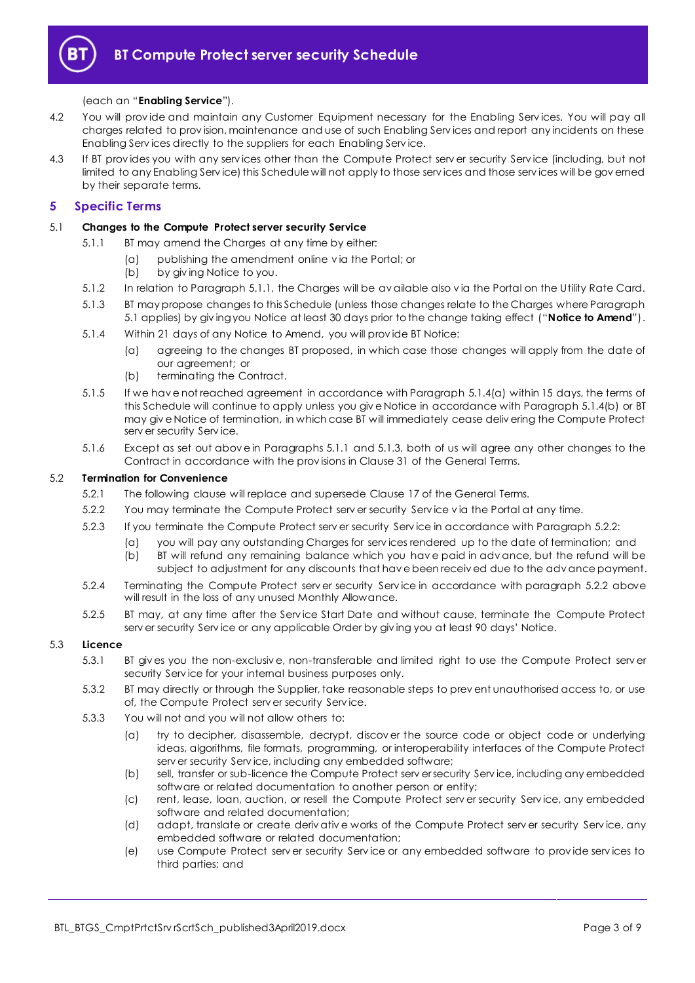

#### (each an "**Enabling Service**").

- 4.2 You will provide and maintain any Customer Equipment necessary for the Enabling Services. You will pay all charges related to prov ision, maintenance and use of such Enabling Serv ices and report any incidents on these Enabling Serv ices directly to the suppliers for each Enabling Serv ice.
- 4.3 If BT prov ides you with any serv ices other than the Compute Protect serv er security Serv ice (including, but not limited to any Enabling Serv ice) this Schedule will not apply to those serv ices and those serv ices will be gov erned by their separate terms.

#### <span id="page-2-0"></span>**5 Specific Terms**

#### <span id="page-2-2"></span><span id="page-2-1"></span>5.1 **Changes to the Compute Protect server security Service**

- 5.1.1 BT may amend the Charges at any time by either:
	- (a) publishing the amendment online v ia the Portal; or
	- (b) by giv ing Notice to you.
- 5.1.2 In relation to Paragrap[h 5.1.1,](#page-2-1) the Charges will be av ailable also v ia the Portal on the Utility Rate Card.
- <span id="page-2-5"></span>5.1.3 BT may propose changes to this Schedule (unless those changes relate to the Charges where Paragraph [5.1](#page-2-2) applies) by giv ing you Notice at least 30 days prior to the change taking effect ("**Notice to Amend**").
- <span id="page-2-3"></span>5.1.4 Within 21 days of any Notice to Amend, you will prov ide BT Notice:
	- (a) agreeing to the changes BT proposed, in which case those changes will apply from the date of our agreement; or
	- (b) terminating the Contract.
- <span id="page-2-4"></span>5.1.5 If we hav e not reached agreement in accordance with Paragraph [5.1.4\(a\)](#page-2-3) within 15 days, the terms of this Schedule will continue to apply unless you giv e Notice in accordance with Paragrap[h 5.1.4\(b\)](#page-2-4) or BT may giv e Notice of termination, in which case BT will immediately cease deliv ering the Compute Protect serv er security Serv ice.
- 5.1.6 Except as set out above in Paragraphs [5.1.1](#page-2-1) and [5.1.3,](#page-2-5) both of us will agree any other changes to the Contract in accordance with the prov isions in Clause 31 of the General Terms.

#### <span id="page-2-6"></span>5.2 **Termination for Convenience**

- 5.2.1 The following clause will replace and supersede Clause 17 of the General Terms.
- 5.2.2 You may terminate the Compute Protect serv er security Serv ice v ia the Portal at any time.
- 5.2.3 If you terminate the Compute Protect serv er security Serv ice in accordance with Paragrap[h 5.2.2:](#page-2-6)
	- (a) you will pay any outstanding Charges for serv ices rendered up to the date of termination; and
		- (b) BT will refund any remaining balance which you hav e paid in adv ance, but the refund will be subject to adjustment for any discounts that hav e been receiv ed due to the adv ance payment.
- 5.2.4 Terminating the Compute Protect serv er security Serv ice in accordance with paragraph [5.2.2](#page-2-6) above will result in the loss of any unused Monthly Allowance.
- 5.2.5 BT may, at any time after the Serv ice Start Date and without cause, terminate the Compute Protect serv er security Serv ice or any applicable Order by giv ing you at least 90 days' Notice.

#### 5.3 **Licence**

- 5.3.1 BT giv es you the non-exclusiv e, non-transferable and limited right to use the Compute Protect serv er security Serv ice for your internal business purposes only.
- 5.3.2 BT may directly or through the Supplier, take reasonable steps to prev ent unauthorised access to, or use of, the Compute Protect serv er security Serv ice.
- <span id="page-2-7"></span>5.3.3 You will not and you will not allow others to:
	- (a) try to decipher, disassemble, decrypt, discov er the source code or object code or underlying ideas, algorithms, file formats, programming, or interoperability interfaces of the Compute Protect serv er security Serv ice, including any embedded software;
	- (b) sell, transfer or sub-licence the Compute Protect serv er security Serv ice, including any embedded software or related documentation to another person or entity;
	- (c) rent, lease, loan, auction, or resell the Compute Protect serv er security Serv ice, any embedded software and related documentation;
	- (d) adapt, translate or create deriv ativ e works of the Compute Protect serv er security Serv ice, any embedded software or related documentation;
	- (e) use Compute Protect serv er security Serv ice or any embedded software to prov ide serv ices to third parties; and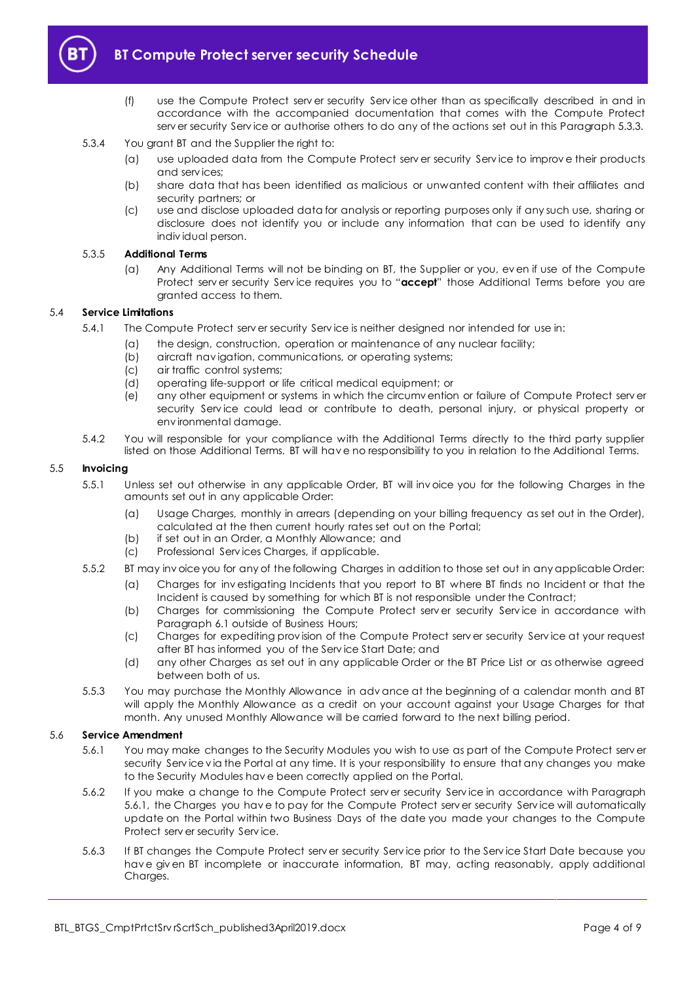

## **BT Compute Protect server security Schedule**

- (f) use the Compute Protect serv er security Serv ice other than as specifically described in and in accordance with the accompanied documentation that comes with the Compute Protect serv er security Serv ice or authorise others to do any of the actions set out in this Paragraph [5.3.3.](#page-2-7)
- 5.3.4 You grant BT and the Supplier the right to:
	- (a) use uploaded data from the Compute Protect serv er security Serv ice to improv e their products and serv ices;
	- (b) share data that has been identified as malicious or unwanted content with their affiliates and security partners; or
	- (c) use and disclose uploaded data for analysis or reporting purposes only if any such use, sharing or disclosure does not identify you or include any information that can be used to identify any indiv idual person.

#### 5.3.5 **Additional Terms**

(a) Any Additional Terms will not be binding on BT, the Supplier or you, ev en if use of the Compute Protect serv er security Serv ice requires you to "**accept**" those Additional Terms before you are granted access to them.

#### 5.4 **Service Limitations**

- 5.4.1 The Compute Protect serv er security Serv ice is neither designed nor intended for use in:
	- (a) the design, construction, operation or maintenance of any nuclear facility;
		- (b) aircraft navigation, communications, or operating systems;
		- (c) air traffic control systems;
		- (d) operating life-support or life critical medical equipment; or
		- (e) any other equipment or systems in which the circumv ention or failure of Compute Protect serv er security Service could lead or contribute to death, personal injury, or physical property or env ironmental damage.
- 5.4.2 You will responsible for your compliance with the Additional Terms directly to the third party supplier listed on those Additional Terms. BT will hav e no responsibility to you in relation to the Additional Terms.

#### 5.5 **Invoicing**

- 5.5.1 Unless set out otherwise in any applicable Order, BT will inv oice you for the following Charges in the amounts set out in any applicable Order:
	- (a) Usage Charges, monthly in arrears (depending on your billing frequency as set out in the Order), calculated at the then current hourly rates set out on the Portal;
	- (b) if set out in an Order, a Monthly Allowance; and
	- (c) Professional Serv ices Charges, if applicable.
- 5.5.2 BT may inv oice you for any of the following Charges in addition to those set out in any applicable Order:
	- (a) Charges for inv estigating Incidents that you report to BT where BT finds no Incident or that the Incident is caused by something for which BT is not responsible under the Contract;
	- (b) Charges for commissioning the Compute Protect server security Service in accordance with Paragraph [6.1](#page-4-3) outside of Business Hours;
	- (c) Charges for expediting prov ision of the Compute Protect serv er security Serv ice at your request after BT has informed you of the Serv ice Start Date; and
	- (d) any other Charges as set out in any applicable Order or the BT Price List or as otherwise agreed between both of us.
- 5.5.3 You may purchase the Monthly Allowance in adv ance at the beginning of a calendar month and BT will apply the Monthly Allowance as a credit on your account against your Usage Charges for that month. Any unused Monthly Allowance will be carried forward to the next billing period.

#### <span id="page-3-0"></span>5.6 **Service Amendment**

- 5.6.1 You may make changes to the Security Modules you wish to use as part of the Compute Protect serv er security Serv ice v ia the Portal at any time. It is your responsibility to ensure that any changes you make to the Security Modules hav e been correctly applied on the Portal.
- 5.6.2 If you make a change to the Compute Protect serv er security Serv ice in accordance with Paragraph [5.6.1,](#page-3-0) the Charges you hav e to pay for the Compute Protect serv er security Serv ice will automatically update on the Portal within two Business Days of the date you made your changes to the Compute Protect serv er security Serv ice.
- 5.6.3 If BT changes the Compute Protect serv er security Serv ice prior to the Serv ice Start Date because you hav e giv en BT incomplete or inaccurate information, BT may, acting reasonably, apply additional Charges.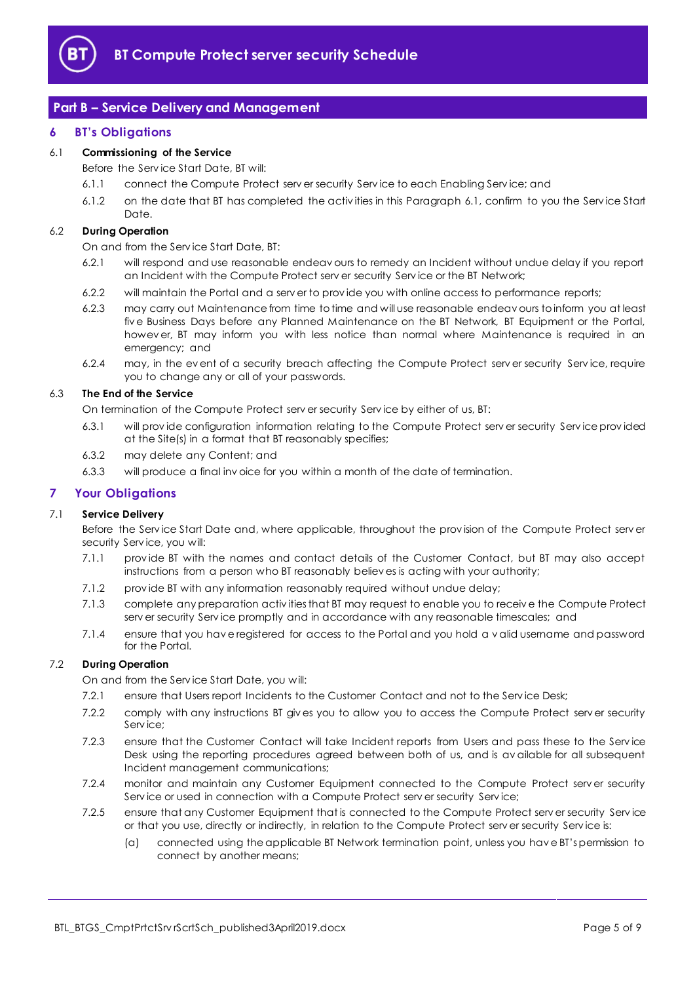

## <span id="page-4-0"></span>**Part B – Service Delivery and Management**

#### <span id="page-4-1"></span>**6 BT's Obligations**

#### <span id="page-4-3"></span>6.1 **Commissioning of the Service**

Before the Serv ice Start Date, BT will:

- 6.1.1 connect the Compute Protect serv er security Serv ice to each Enabling Serv ice; and
- 6.1.2 on the date that BT has completed the activ ities in this Paragraph [6.1,](#page-4-3) confirm to you the Serv ice Start Date.

#### 6.2 **During Operation**

On and from the Serv ice Start Date, BT:

- 6.2.1 will respond and use reasonable endeav ours to remedy an Incident without undue delay if you report an Incident with the Compute Protect serv er security Serv ice or the BT Network;
- 6.2.2 will maintain the Portal and a serv er to prov ide you with online access to performance reports;
- 6.2.3 may carry out Maintenance from time to time and will use reasonable endeav ours to inform you at least fiv e Business Days before any Planned Maintenance on the BT Network, BT Equipment or the Portal, howev er, BT may inform you with less notice than normal where Maintenance is required in an emergency; and
- 6.2.4 may, in the ev ent of a security breach affecting the Compute Protect serv er security Serv ice, require you to change any or all of your passwords.

#### 6.3 **The End of the Service**

On termination of the Compute Protect serv er security Serv ice by either of us, BT:

- 6.3.1 will prov ide configuration information relating to the Compute Protect serv er security Serv ice prov ided at the Site(s) in a format that BT reasonably specifies;
- 6.3.2 may delete any Content; and
- 6.3.3 will produce a final inv oice for you within a month of the date of termination.

#### <span id="page-4-2"></span>**7 Your Obligations**

#### 7.1 **Service Delivery**

Before the Serv ice Start Date and, where applicable, throughout the prov ision of the Compute Protect serv er security Serv ice, you will:

- 7.1.1 prov ide BT with the names and contact details of the Customer Contact, but BT may also accept instructions from a person who BT reasonably believ es is acting with your authority;
- 7.1.2 prov ide BT with any information reasonably required without undue delay;
- 7.1.3 complete any preparation activ ities that BT may request to enable you to receiv e the Compute Protect serv er security Serv ice promptly and in accordance with any reasonable timescales; and
- 7.1.4 ensure that you hav e registered for access to the Portal and you hold a v alid username and password for the Portal.

#### 7.2 **During Operation**

On and from the Serv ice Start Date, you will:

- 7.2.1 ensure that Users report Incidents to the Customer Contact and not to the Service Desk;
- 7.2.2 comply with any instructions BT giv es you to allow you to access the Compute Protect serv er security Serv ice;
- 7.2.3 ensure that the Customer Contact will take Incident reports from Users and pass these to the Serv ice Desk using the reporting procedures agreed between both of us, and is av ailable for all subsequent Incident management communications;
- 7.2.4 monitor and maintain any Customer Equipment connected to the Compute Protect serv er security Service or used in connection with a Compute Protect serv er security Service;
- 7.2.5 ensure that any Customer Equipment that is connected to the Compute Protect serv er security Serv ice or that you use, directly or indirectly, in relation to the Compute Protect serv er security Serv ice is:
	- (a) connected using the applicable BT Network termination point, unless you hav e BT's permission to connect by another means;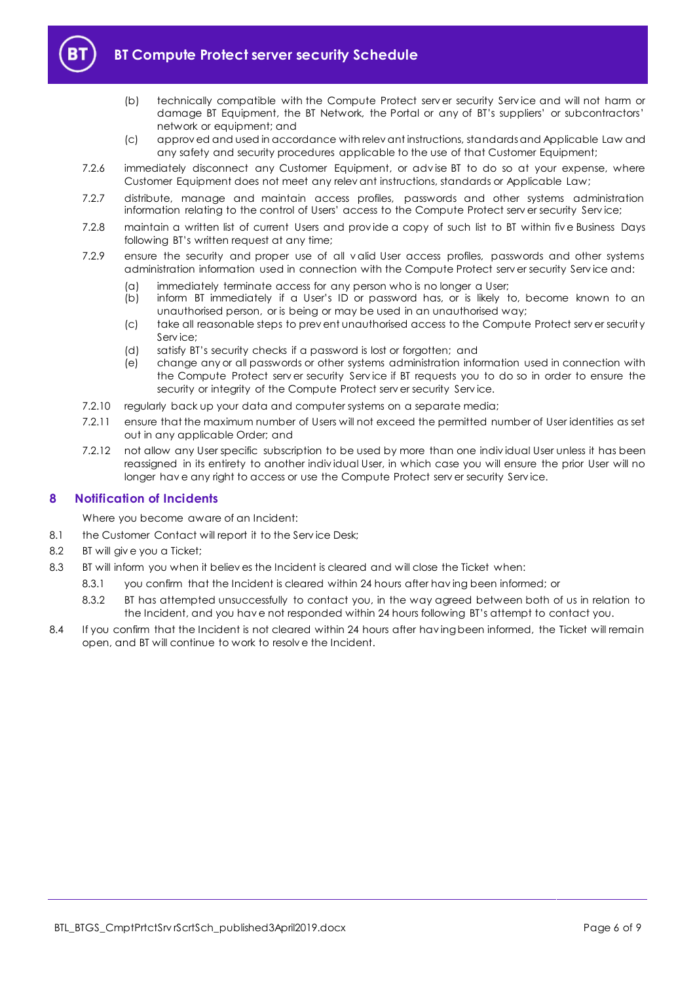

## **BT Compute Protect server security Schedule**

- (b) technically compatible with the Compute Protect serv er security Serv ice and will not harm or damage BT Equipment, the BT Network, the Portal or any of BT's suppliers' or subcontractors' network or equipment; and
- (c) approv ed and used in accordance with relev ant instructions, standards and Applicable Law and any safety and security procedures applicable to the use of that Customer Equipment;
- 7.2.6 immediately disconnect any Customer Equipment, or adv ise BT to do so at your expense, where Customer Equipment does not meet any relev ant instructions, standards or Applicable Law;
- 7.2.7 distribute, manage and maintain access profiles, passwords and other systems administration information relating to the control of Users' access to the Compute Protect serv er security Serv ice;
- 7.2.8 maintain a written list of current Users and prov ide a copy of such list to BT within fiv e Business Days following BT's written request at any time;
- 7.2.9 ensure the security and proper use of all v alid User access profiles, passwords and other systems administration information used in connection with the Compute Protect serv er security Serv ice and:
	- (a) immediately terminate access for any person who is no longer a User;
	- (b) inform BT immediately if a User's ID or password has, or is likely to, become known to an unauthorised person, or is being or may be used in an unauthorised way;
	- (c) take all reasonable steps to prev ent unauthorised access to the Compute Protect serv er security Serv ice;
	- (d) satisfy BT's security checks if a password is lost or forgotten; and
	- (e) change any or all passwords or other systems administration information used in connection with the Compute Protect serv er security Serv ice if BT requests you to do so in order to ensure the security or integrity of the Compute Protect serv er security Serv ice.
- 7.2.10 regularly back up your data and computer systems on a separate media;
- 7.2.11 ensure that the maximum number of Users will not exceed the permitted number of User identities as set out in any applicable Order; and
- 7.2.12 not allow any User specific subscription to be used by more than one indiv idual User unless it has been reassigned in its entirety to another indiv idual User, in which case you will ensure the prior User will no longer hav e any right to access or use the Compute Protect serv er security Serv ice.

#### <span id="page-5-0"></span>**8 Notification of Incidents**

Where you become aware of an Incident:

- 8.1 the Customer Contact will report it to the Service Desk:
- 8.2 BT will giv e you a Ticket;
- 8.3 BT will inform you when it believ es the Incident is cleared and will close the Ticket when:
	- 8.3.1 you confirm that the Incident is cleared within 24 hours after having been informed; or
		- 8.3.2 BT has attempted unsuccessfully to contact you, in the way agreed between both of us in relation to the Incident, and you hav e not responded within 24 hours following BT's attempt to contact you.
- 8.4 If you confirm that the Incident is not cleared within 24 hours after having been informed, the Ticket will remain open, and BT will continue to work to resolv e the Incident.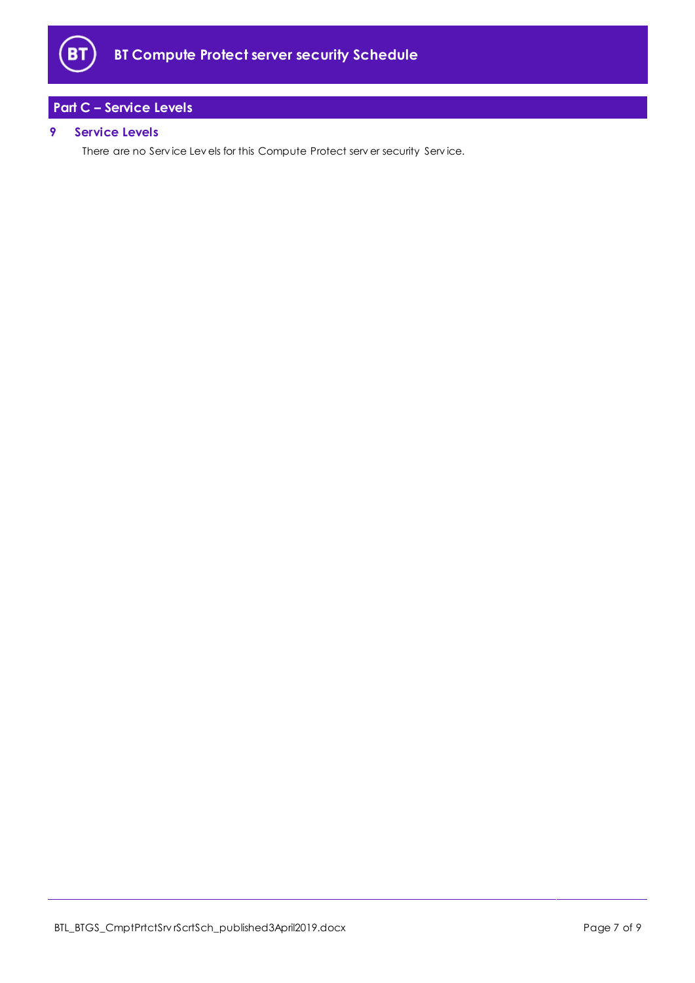

## <span id="page-6-0"></span>**Part C – Service Levels**

#### <span id="page-6-1"></span>**9 Service Levels**

There are no Serv ice Lev els for this Compute Protect serv er security Serv ice.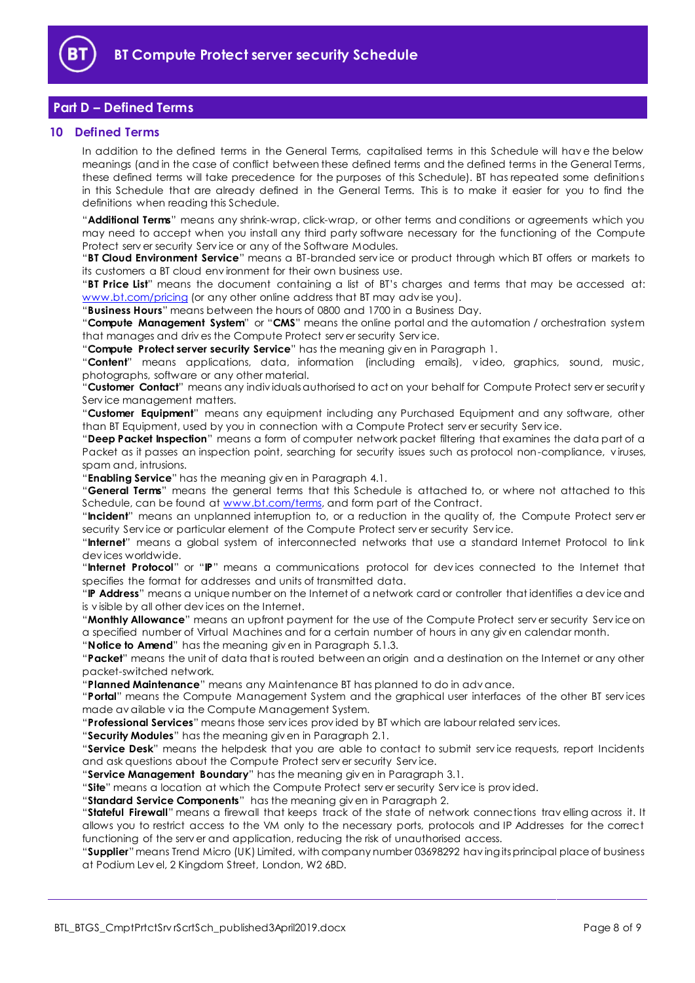

## <span id="page-7-0"></span>**Part D – Defined Terms**

#### <span id="page-7-1"></span>**10 Defined Terms**

In addition to the defined terms in the General Terms, capitalised terms in this Schedule will hav e the below meanings (and in the case of conflict between these defined terms and the defined terms in the General Terms, these defined terms will take precedence for the purposes of this Schedule). BT has repeated some definitions in this Schedule that are already defined in the General Terms. This is to make it easier for you to find the definitions when reading this Schedule.

"**Additional Terms**" means any shrink-wrap, click-wrap, or other terms and conditions or agreements which you may need to accept when you install any third party software necessary for the functioning of the Compute Protect serv er security Serv ice or any of the Software Modules.

"**BT Cloud Environment Service**" means a BT-branded serv ice or product through which BT offers or markets to its customers a BT cloud env ironment for their own business use.

"**BT Price List**" means the document containing a list of BT's charges and terms that may be accessed at: [www.bt.com/pricing](http://www.bt.com/pricing) (or any other online address that BT may adv ise you).

"**Business Hours**" means between the hours of 0800 and 1700 in a Business Day.

"**Compute Management System**" or "**CMS**" means the online portal and the automation / orchestration system that manages and driv es the Compute Protect serv er security Serv ice.

"**Compute Protect server security Service**" has the meaning giv en in Paragraph [1.](#page-1-3)

"**Content**" means applications, data, information (including emails), v ideo, graphics, sound, music, photographs, software or any other material.

"**Customer Contact**" means any indiv iduals authorised to act on your behalf for Compute Protect serv er security Serv ice management matters.

"**Customer Equipment**" means any equipment including any Purchased Equipment and any software, other than BT Equipment, used by you in connection with a Compute Protect serv er security Serv ice.

"**Deep Packet Inspection**" means a form of computer network packet filtering that examines the data part of a Packet as it passes an inspection point, searching for security issues such as protocol non-compliance, v iruses, spam and, intrusions.

"**Enabling Service**" has the meaning giv en in Paragrap[h 4.1.](#page-1-7)

"**General Terms**" means the general terms that this Schedule is attached to, or where not attached to this Schedule, can be found at [www.bt.com/terms,](http://www.bt.com/terms) and form part of the Contract.

"**Incident**" means an unplanned interruption to, or a reduction in the quality of, the Compute Protect serv er security Serv ice or particular element of the Compute Protect serv er security Serv ice.

"**Internet**" means a global system of interconnected networks that use a standard Internet Protocol to link dev ices worldwide.

"**Internet Protocol**" or "**IP**" means a communications protocol for dev ices connected to the Internet that specifies the format for addresses and units of transmitted data.

"**IP Address**" means a unique number on the Internet of a network card or controller that identifies a dev ice and is v isible by all other dev ices on the Internet.

"**Monthly Allowance**" means an upfront payment for the use of the Compute Protect serv er security Serv ice on a specified number of Virtual Machines and for a certain number of hours in any giv en calendar month.

"**Notice to Amend**" has the meaning giv en in Paragraph [5.1.3.](#page-2-5)

"**Packet**" means the unit of data that is routed between an origin and a destination on the Internet or any other packet-switched network.

"**Planned Maintenance**" means any Maintenance BT has planned to do in adv ance.

"**Portal**" means the Compute Management System and the graphical user interfaces of the other BT serv ices made av ailable v ia the Compute Management System.

"**Professional Services**" means those serv ices prov ided by BT which are labour related serv ices.

"**Security Modules**" has the meaning giv en in Paragraph [2.1.](#page-1-8)

"**Service Desk**" means the helpdesk that you are able to contact to submit serv ice requests, report Incidents and ask questions about the Compute Protect serv er security Serv ice.

"**Service Management Boundary**" has the meaning giv en in Paragraph [3.1.](#page-1-9)

"**Site**" means a location at which the Compute Protect serv er security Serv ice is prov ided.

"**Standard Service Components**" has the meaning giv en in Paragraph [2.](#page-1-4)

"**Stateful Firewall**" means a firewall that keeps track of the state of network connections trav elling across it. It allows you to restrict access to the VM only to the necessary ports, protocols and IP Addresses for the correct functioning of the serv er and application, reducing the risk of unauthorised access.

"**Supplier**"means Trend Micro (UK) Limited, with company number 03698292 hav ing its principal place of business at Podium Lev el, 2 Kingdom Street, London, W2 6BD.